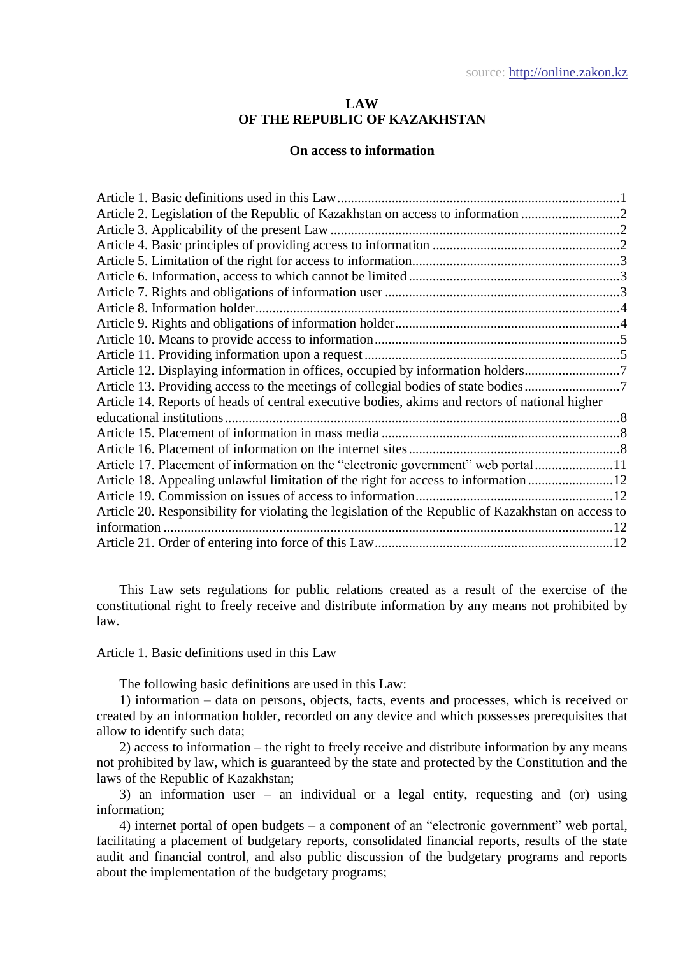## **LAW OF THE REPUBLIC OF KAZAKHSTAN**

## **On access to information**

| Article 2. Legislation of the Republic of Kazakhstan on access to information 2                     |  |
|-----------------------------------------------------------------------------------------------------|--|
|                                                                                                     |  |
|                                                                                                     |  |
|                                                                                                     |  |
|                                                                                                     |  |
|                                                                                                     |  |
| Article 8. Information holder.                                                                      |  |
|                                                                                                     |  |
|                                                                                                     |  |
|                                                                                                     |  |
| Article 12. Displaying information in offices, occupied by information holders                      |  |
| Article 13. Providing access to the meetings of collegial bodies of state bodies                    |  |
| Article 14. Reports of heads of central executive bodies, akims and rectors of national higher      |  |
|                                                                                                     |  |
|                                                                                                     |  |
|                                                                                                     |  |
| Article 17. Placement of information on the "electronic government" web portal11                    |  |
| Article 18. Appealing unlawful limitation of the right for access to information 12                 |  |
|                                                                                                     |  |
| Article 20. Responsibility for violating the legislation of the Republic of Kazakhstan on access to |  |
| information                                                                                         |  |
|                                                                                                     |  |

This Law sets regulations for public relations created as a result of the exercise of the constitutional right to freely receive and distribute information by any means not prohibited by law.

<span id="page-0-0"></span>Article 1. Basic definitions used in this Law

The following basic definitions are used in this Law:

1) information – data on persons, objects, facts, events and processes, which is received or created by an information holder, recorded on any device and which possesses prerequisites that allow to identify such data;

2) access to information – the right to freely receive and distribute information by any means not prohibited by law, which is guaranteed by the state and protected by the Constitution and the laws of the Republic of Kazakhstan;

3) an information user – an individual or a legal entity, requesting and (or) using information;

4) internet portal of open budgets – a component of an "electronic government" web portal, facilitating a placement of budgetary reports, consolidated financial reports, results of the state audit and financial control, and also public discussion of the budgetary programs and reports about the implementation of the budgetary programs;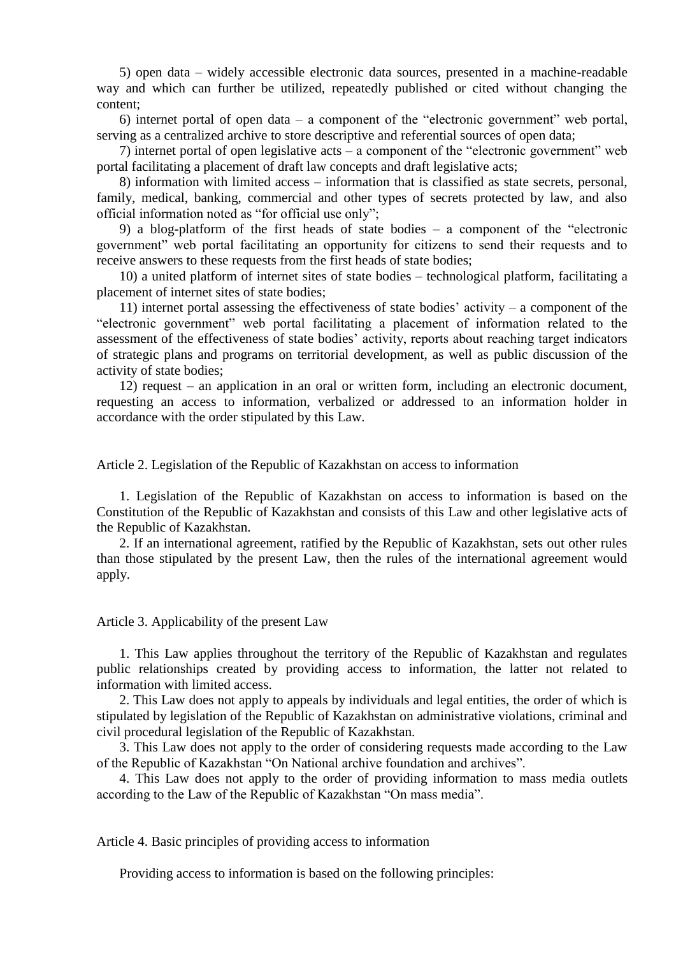5) open data – widely accessible electronic data sources, presented in a machine-readable way and which can further be utilized, repeatedly published or cited without changing the content;

6) internet portal of open data – a component of the "electronic government" web portal, serving as a centralized archive to store descriptive and referential sources of open data;

7) internet portal of open legislative acts – a component of the "electronic government" web portal facilitating a placement of draft law concepts and draft legislative acts;

8) information with limited access – information that is classified as state secrets, personal, family, medical, banking, commercial and other types of secrets protected by law, and also official information noted as "for official use only";

9) a blog-platform of the first heads of state bodies – a component of the "electronic government" web portal facilitating an opportunity for citizens to send their requests and to receive answers to these requests from the first heads of state bodies;

10) a united platform of internet sites of state bodies – technological platform, facilitating a placement of internet sites of state bodies;

11) internet portal assessing the effectiveness of state bodies' activity – a component of the "electronic government" web portal facilitating a placement of information related to the assessment of the effectiveness of state bodies' activity, reports about reaching target indicators of strategic plans and programs on territorial development, as well as public discussion of the activity of state bodies;

12) request – an application in an oral or written form, including an electronic document, requesting an access to information, verbalized or addressed to an information holder in accordance with the order stipulated by this Law.

<span id="page-1-0"></span>Article 2. Legislation of the Republic of Kazakhstan on access to information

1. Legislation of the Republic of Kazakhstan on access to information is based on the Constitution of the Republic of Kazakhstan and consists of this Law and other legislative acts of the Republic of Kazakhstan.

2. If an international agreement, ratified by the Republic of Kazakhstan, sets out other rules than those stipulated by the present Law, then the rules of the international agreement would apply.

<span id="page-1-1"></span>Article 3. Applicability of the present Law

1. This Law applies throughout the territory of the Republic of Kazakhstan and regulates public relationships created by providing access to information, the latter not related to information with limited access.

2. This Law does not apply to appeals by individuals and legal entities, the order of which is stipulated by legislation of the Republic of Kazakhstan on administrative violations, criminal and civil procedural legislation of the Republic of Kazakhstan.

3. This Law does not apply to the order of considering requests made according to the Law of the Republic of Kazakhstan "On National archive foundation and archives".

4. This Law does not apply to the order of providing information to mass media outlets according to the Law of the Republic of Kazakhstan "On mass media".

<span id="page-1-2"></span>Article 4. Basic principles of providing access to information

Providing access to information is based on the following principles: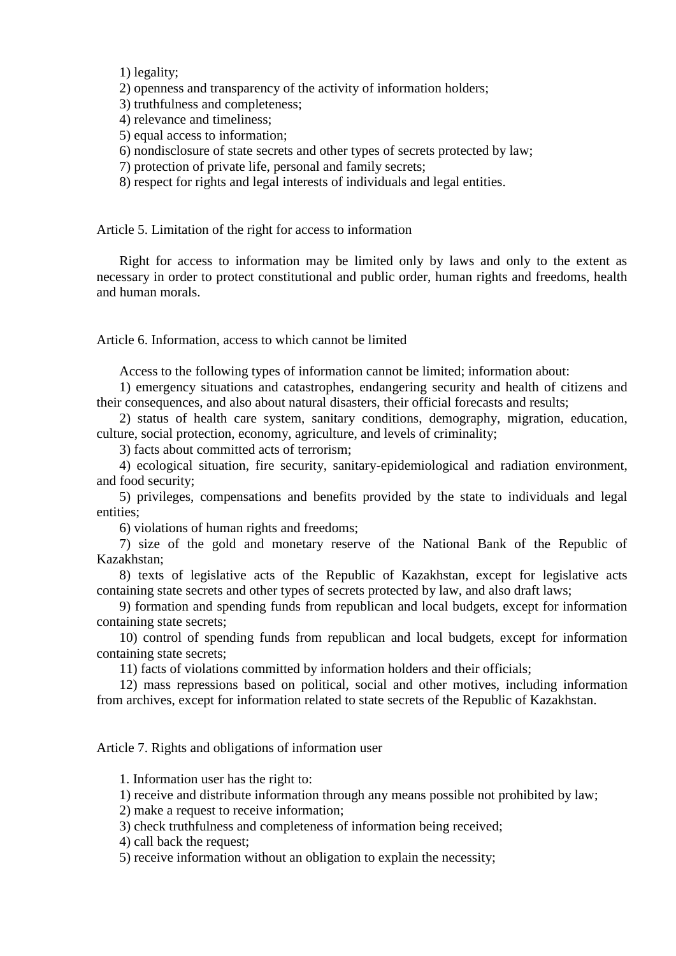1) legality;

2) openness and transparency of the activity of information holders;

3) truthfulness and completeness;

- 4) relevance and timeliness;
- 5) equal access to information;
- 6) nondisclosure of state secrets and other types of secrets protected by law;
- 7) protection of private life, personal and family secrets;
- 8) respect for rights and legal interests of individuals and legal entities.

<span id="page-2-0"></span>Article 5. Limitation of the right for access to information

Right for access to information may be limited only by laws and only to the extent as necessary in order to protect constitutional and public order, human rights and freedoms, health and human morals.

<span id="page-2-1"></span>Article 6. Information, access to which cannot be limited

Access to the following types of information cannot be limited; information about:

1) emergency situations and catastrophes, endangering security and health of citizens and their consequences, and also about natural disasters, their official forecasts and results;

2) status of health care system, sanitary conditions, demography, migration, education, culture, social protection, economy, agriculture, and levels of criminality;

3) facts about committed acts of terrorism;

4) ecological situation, fire security, sanitary-epidemiological and radiation environment, and food security;

5) privileges, compensations and benefits provided by the state to individuals and legal entities;

6) violations of human rights and freedoms;

7) size of the gold and monetary reserve of the National Bank of the Republic of Kazakhstan;

8) texts of legislative acts of the Republic of Kazakhstan, except for legislative acts containing state secrets and other types of secrets protected by law, and also draft laws;

9) formation and spending funds from republican and local budgets, except for information containing state secrets;

10) control of spending funds from republican and local budgets, except for information containing state secrets;

11) facts of violations committed by information holders and their officials;

12) mass repressions based on political, social and other motives, including information from archives, except for information related to state secrets of the Republic of Kazakhstan.

<span id="page-2-2"></span>Article 7. Rights and obligations of information user

1. Information user has the right to:

1) receive and distribute information through any means possible not prohibited by law;

2) make a request to receive information;

3) check truthfulness and completeness of information being received;

4) call back the request;

5) receive information without an obligation to explain the necessity;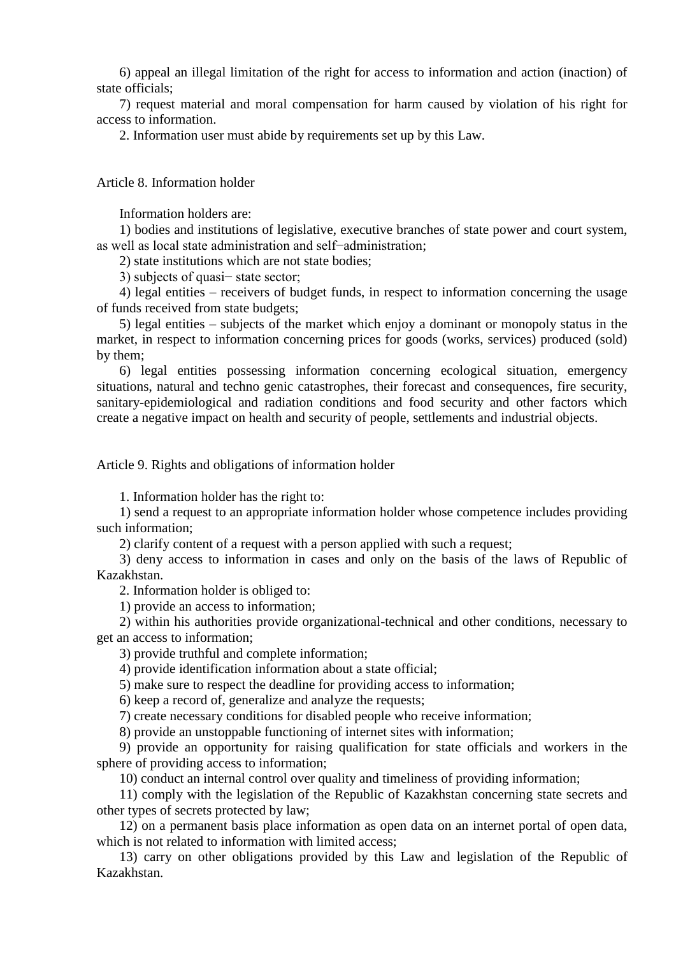6) appeal an illegal limitation of the right for access to information and action (inaction) of state officials;

7) request material and moral compensation for harm caused by violation of his right for access to information.

2. Information user must abide by requirements set up by this Law.

<span id="page-3-0"></span>Article 8. Information holder

Information holders are:

1) bodies and institutions of legislative, executive branches of state power and court system, as well as local state administration and self−administration;

2) state institutions which are not state bodies;

3) subjects of quasi− state sector;

4) legal entities – receivers of budget funds, in respect to information concerning the usage of funds received from state budgets;

5) legal entities – subjects of the market which enjoy a dominant or monopoly status in the market, in respect to information concerning prices for goods (works, services) produced (sold) by them;

6) legal entities possessing information concerning ecological situation, emergency situations, natural and techno genic catastrophes, their forecast and consequences, fire security, sanitary-epidemiological and radiation conditions and food security and other factors which create a negative impact on health and security of people, settlements and industrial objects.

<span id="page-3-1"></span>Article 9. Rights and obligations of information holder

1. Information holder has the right to:

1) send a request to an appropriate information holder whose competence includes providing such information;

2) clarify content of a request with a person applied with such a request;

3) deny access to information in cases and only on the basis of the laws of Republic of Kazakhstan.

2. Information holder is obliged to:

1) provide an access to information;

2) within his authorities provide organizational-technical and other conditions, necessary to get an access to information;

3) provide truthful and complete information;

4) provide identification information about a state official;

5) make sure to respect the deadline for providing access to information;

6) keep a record of, generalize and analyze the requests;

7) create necessary conditions for disabled people who receive information;

8) provide an unstoppable functioning of internet sites with information;

9) provide an opportunity for raising qualification for state officials and workers in the sphere of providing access to information;

10) conduct an internal control over quality and timeliness of providing information;

11) comply with the legislation of the Republic of Kazakhstan concerning state secrets and other types of secrets protected by law;

12) on a permanent basis place information as open data on an internet portal of open data, which is not related to information with limited access:

13) carry on other obligations provided by this Law and legislation of the Republic of Kazakhstan.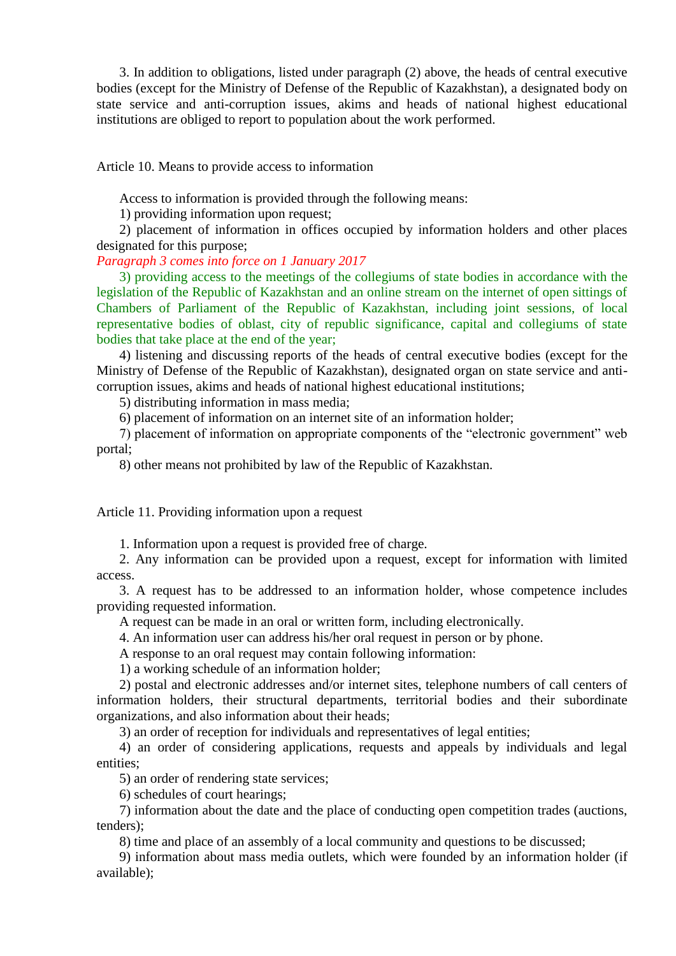3. In addition to obligations, listed under paragraph (2) above, the heads of central executive bodies (except for the Ministry of Defense of the Republic of Kazakhstan), a designated body on state service and anti-corruption issues, akims and heads of national highest educational institutions are obliged to report to population about the work performed.

<span id="page-4-0"></span>Article 10. Means to provide access to information

Access to information is provided through the following means:

1) providing information upon request;

2) placement of information in offices occupied by information holders and other places designated for this purpose;

*Paragraph 3 comes into force on 1 January 2017* 

3) providing access to the meetings of the collegiums of state bodies in accordance with the legislation of the Republic of Kazakhstan and an online stream on the internet of open sittings of Chambers of Parliament of the Republic of Kazakhstan, including joint sessions, of local representative bodies of oblast, city of republic significance, capital and collegiums of state bodies that take place at the end of the year;

4) listening and discussing reports of the heads of central executive bodies (except for the Ministry of Defense of the Republic of Kazakhstan), designated organ on state service and anticorruption issues, akims and heads of national highest educational institutions;

5) distributing information in mass media;

6) placement of information on an internet site of an information holder;

7) placement of information on appropriate components of the "electronic government" web portal;

8) other means not prohibited by law of the Republic of Kazakhstan.

<span id="page-4-1"></span>Article 11. Providing information upon a request

1. Information upon a request is provided free of charge.

2. Any information can be provided upon a request, except for information with limited access.

3. A request has to be addressed to an information holder, whose competence includes providing requested information.

A request can be made in an oral or written form, including electronically.

4. An information user can address his/her oral request in person or by phone.

A response to an oral request may contain following information:

1) a working schedule of an information holder;

2) postal and electronic addresses and/or internet sites, telephone numbers of call centers of information holders, their structural departments, territorial bodies and their subordinate organizations, and also information about their heads;

3) an order of reception for individuals and representatives of legal entities;

4) an order of considering applications, requests and appeals by individuals and legal entities;

5) an order of rendering state services;

6) schedules of court hearings;

7) information about the date and the place of conducting open competition trades (auctions, tenders);

8) time and place of an assembly of a local community and questions to be discussed;

9) information about mass media outlets, which were founded by an information holder (if available);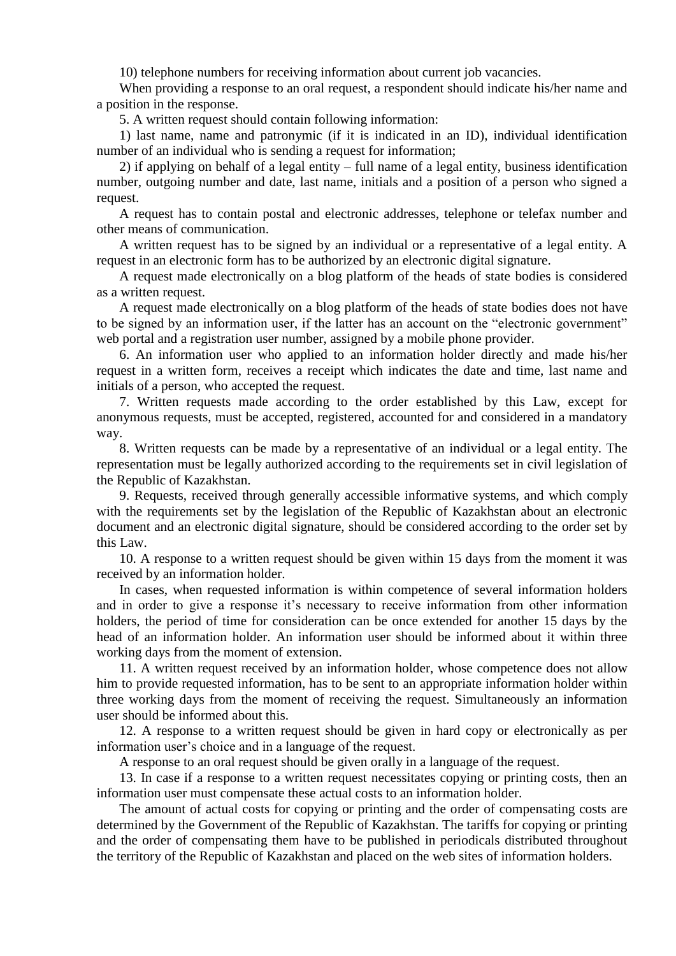10) telephone numbers for receiving information about current job vacancies.

When providing a response to an oral request, a respondent should indicate his/her name and a position in the response.

5. A written request should contain following information:

1) last name, name and patronymic (if it is indicated in an ID), individual identification number of an individual who is sending a request for information;

2) if applying on behalf of a legal entity – full name of a legal entity, business identification number, outgoing number and date, last name, initials and a position of a person who signed a request.

A request has to contain postal and electronic addresses, telephone or telefax number and other means of communication.

A written request has to be signed by an individual or a representative of a legal entity. A request in an electronic form has to be authorized by an electronic digital signature.

A request made electronically on a blog platform of the heads of state bodies is considered as a written request.

A request made electronically on a blog platform of the heads of state bodies does not have to be signed by an information user, if the latter has an account on the "electronic government" web portal and a registration user number, assigned by a mobile phone provider.

6. An information user who applied to an information holder directly and made his/her request in a written form, receives a receipt which indicates the date and time, last name and initials of a person, who accepted the request.

7. Written requests made according to the order established by this Law, except for anonymous requests, must be accepted, registered, accounted for and considered in a mandatory way.

8. Written requests can be made by a representative of an individual or a legal entity. The representation must be legally authorized according to the requirements set in civil legislation of the Republic of Kazakhstan.

9. Requests, received through generally accessible informative systems, and which comply with the requirements set by the legislation of the Republic of Kazakhstan about an electronic document and an electronic digital signature, should be considered according to the order set by this Law.

10. A response to a written request should be given within 15 days from the moment it was received by an information holder.

In cases, when requested information is within competence of several information holders and in order to give a response it's necessary to receive information from other information holders, the period of time for consideration can be once extended for another 15 days by the head of an information holder. An information user should be informed about it within three working days from the moment of extension.

11. A written request received by an information holder, whose competence does not allow him to provide requested information, has to be sent to an appropriate information holder within three working days from the moment of receiving the request. Simultaneously an information user should be informed about this.

12. A response to a written request should be given in hard copy or electronically as per information user's choice and in a language of the request.

A response to an oral request should be given orally in a language of the request.

13. In case if a response to a written request necessitates copying or printing costs, then an information user must compensate these actual costs to an information holder.

The amount of actual costs for copying or printing and the order of compensating costs are determined by the Government of the Republic of Kazakhstan. The tariffs for copying or printing and the order of compensating them have to be published in periodicals distributed throughout the territory of the Republic of Kazakhstan and placed on the web sites of information holders.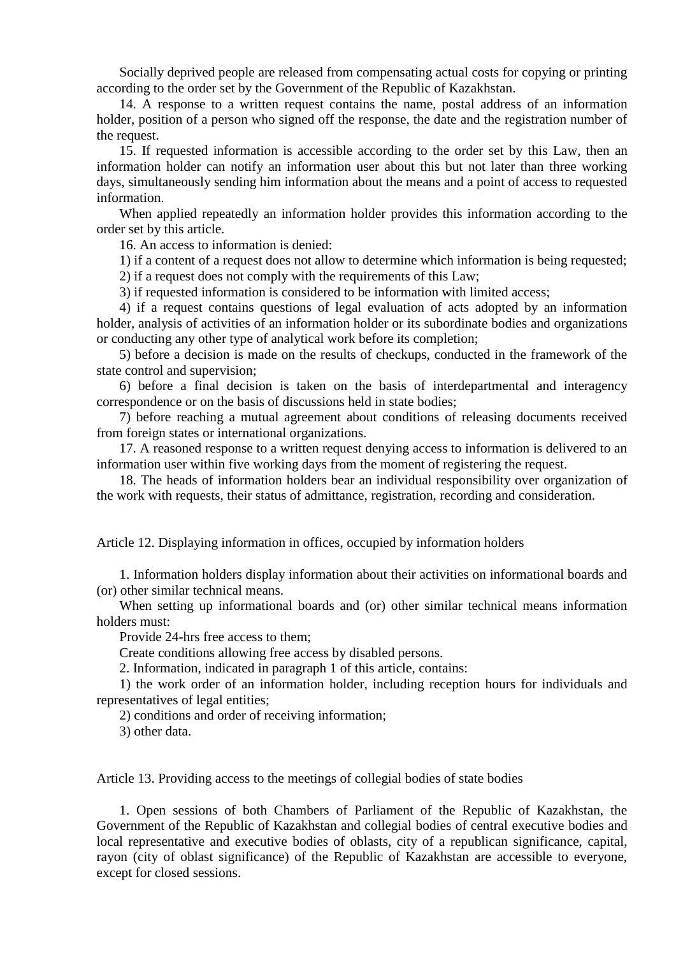Socially deprived people are released from compensating actual costs for copying or printing according to the order set by the Government of the Republic of Kazakhstan.

14. A response to a written request contains the name, postal address of an information holder, position of a person who signed off the response, the date and the registration number of the request.

15. If requested information is accessible according to the order set by this Law, then an information holder can notify an information user about this but not later than three working days, simultaneously sending him information about the means and a point of access to requested information.

When applied repeatedly an information holder provides this information according to the order set by this article.

16. An access to information is denied:

1) if a content of a request does not allow to determine which information is being requested;

2) if a request does not comply with the requirements of this Law;

3) if requested information is considered to be information with limited access;

4) if a request contains questions of legal evaluation of acts adopted by an information holder, analysis of activities of an information holder or its subordinate bodies and organizations or conducting any other type of analytical work before its completion;

5) before a decision is made on the results of checkups, conducted in the framework of the state control and supervision;

6) before a final decision is taken on the basis of interdepartmental and interagency correspondence or on the basis of discussions held in state bodies;

7) before reaching a mutual agreement about conditions of releasing documents received from foreign states or international organizations.

17. A reasoned response to a written request denying access to information is delivered to an information user within five working days from the moment of registering the request.

18. The heads of information holders bear an individual responsibility over organization of the work with requests, their status of admittance, registration, recording and consideration.

<span id="page-6-0"></span>Article 12. Displaying information in offices, occupied by information holders

1. Information holders display information about their activities on informational boards and (or) other similar technical means.

When setting up informational boards and (or) other similar technical means information holders must:

Provide 24-hrs free access to them;

Create conditions allowing free access by disabled persons.

2. Information, indicated in paragraph 1 of this article, contains:

1) the work order of an information holder, including reception hours for individuals and representatives of legal entities;

2) conditions and order of receiving information;

3) other data.

<span id="page-6-1"></span>Article 13. Providing access to the meetings of collegial bodies of state bodies

1. Open sessions of both Chambers of Parliament of the Republic of Kazakhstan, the Government of the Republic of Kazakhstan and collegial bodies of central executive bodies and local representative and executive bodies of oblasts, city of a republican significance, capital, rayon (city of oblast significance) of the Republic of Kazakhstan are accessible to everyone, except for closed sessions.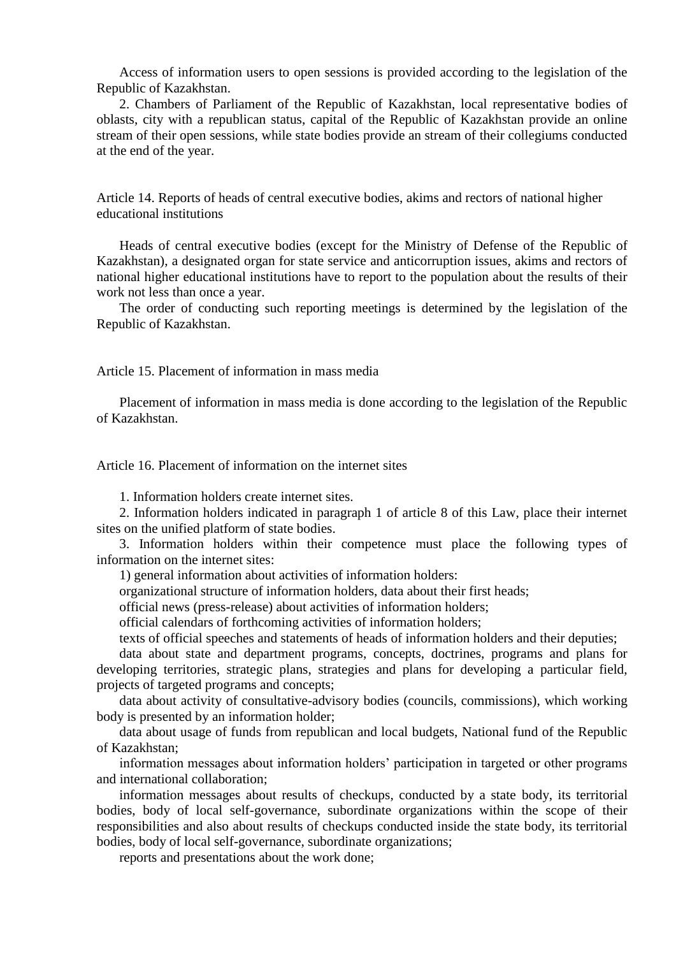Access of information users to open sessions is provided according to the legislation of the Republic of Kazakhstan.

2. Chambers of Parliament of the Republic of Kazakhstan, local representative bodies of oblasts, city with a republican status, capital of the Republic of Kazakhstan provide an online stream of their open sessions, while state bodies provide an stream of their collegiums conducted at the end of the year.

<span id="page-7-0"></span>Article 14. Reports of heads of central executive bodies, akims and rectors of national higher educational institutions

Heads of central executive bodies (except for the Ministry of Defense of the Republic of Kazakhstan), a designated organ for state service and anticorruption issues, akims and rectors of national higher educational institutions have to report to the population about the results of their work not less than once a year.

The order of conducting such reporting meetings is determined by the legislation of the Republic of Kazakhstan.

<span id="page-7-1"></span>Article 15. Placement of information in mass media

Placement of information in mass media is done according to the legislation of the Republic of Kazakhstan.

<span id="page-7-2"></span>Article 16. Placement of information on the internet sites

1. Information holders create internet sites.

2. Information holders indicated in paragraph 1 of article 8 of this Law, place their internet sites on the unified platform of state bodies.

3. Information holders within their competence must place the following types of information on the internet sites:

1) general information about activities of information holders:

organizational structure of information holders, data about their first heads;

official news (press-release) about activities of information holders;

official calendars of forthcoming activities of information holders;

texts of official speeches and statements of heads of information holders and their deputies;

data about state and department programs, concepts, doctrines, programs and plans for developing territories, strategic plans, strategies and plans for developing a particular field, projects of targeted programs and concepts;

data about activity of consultative-advisory bodies (councils, commissions), which working body is presented by an information holder;

data about usage of funds from republican and local budgets, National fund of the Republic of Kazakhstan;

information messages about information holders' participation in targeted or other programs and international collaboration;

information messages about results of checkups, conducted by a state body, its territorial bodies, body of local self-governance, subordinate organizations within the scope of their responsibilities and also about results of checkups conducted inside the state body, its territorial bodies, body of local self-governance, subordinate organizations;

reports and presentations about the work done;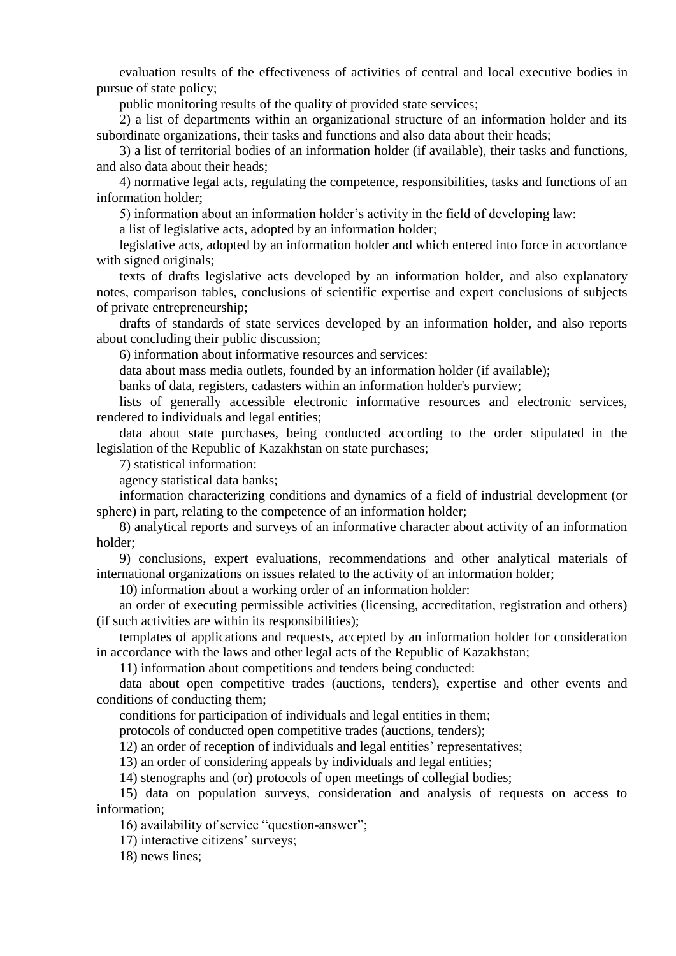evaluation results of the effectiveness of activities of central and local executive bodies in pursue of state policy;

public monitoring results of the quality of provided state services;

2) a list of departments within an organizational structure of an information holder and its subordinate organizations, their tasks and functions and also data about their heads;

3) a list of territorial bodies of an information holder (if available), their tasks and functions, and also data about their heads;

4) normative legal acts, regulating the competence, responsibilities, tasks and functions of an information holder;

5) information about an information holder's activity in the field of developing law:

a list of legislative acts, adopted by an information holder;

legislative acts, adopted by an information holder and which entered into force in accordance with signed originals;

texts of drafts legislative acts developed by an information holder, and also explanatory notes, comparison tables, conclusions of scientific expertise and expert conclusions of subjects of private entrepreneurship;

drafts of standards of state services developed by an information holder, and also reports about concluding their public discussion;

6) information about informative resources and services:

data about mass media outlets, founded by an information holder (if available);

banks of data, registers, cadasters within an information holder's purview;

lists of generally accessible electronic informative resources and electronic services, rendered to individuals and legal entities;

data about state purchases, being conducted according to the order stipulated in the legislation of the Republic of Kazakhstan on state purchases;

7) statistical information:

agency statistical data banks;

information characterizing conditions and dynamics of a field of industrial development (or sphere) in part, relating to the competence of an information holder;

8) analytical reports and surveys of an informative character about activity of an information holder;

9) conclusions, expert evaluations, recommendations and other analytical materials of international organizations on issues related to the activity of an information holder;

10) information about a working order of an information holder:

an order of executing permissible activities (licensing, accreditation, registration and others) (if such activities are within its responsibilities);

templates of applications and requests, accepted by an information holder for consideration in accordance with the laws and other legal acts of the Republic of Kazakhstan;

11) information about competitions and tenders being conducted:

data about open competitive trades (auctions, tenders), expertise and other events and conditions of conducting them;

conditions for participation of individuals and legal entities in them;

protocols of conducted open competitive trades (auctions, tenders);

12) an order of reception of individuals and legal entities' representatives;

13) an order of considering appeals by individuals and legal entities;

14) stenographs and (or) protocols of open meetings of collegial bodies;

15) data on population surveys, consideration and analysis of requests on access to information;

16) availability of service "question-answer";

17) interactive citizens' surveys;

18) news lines;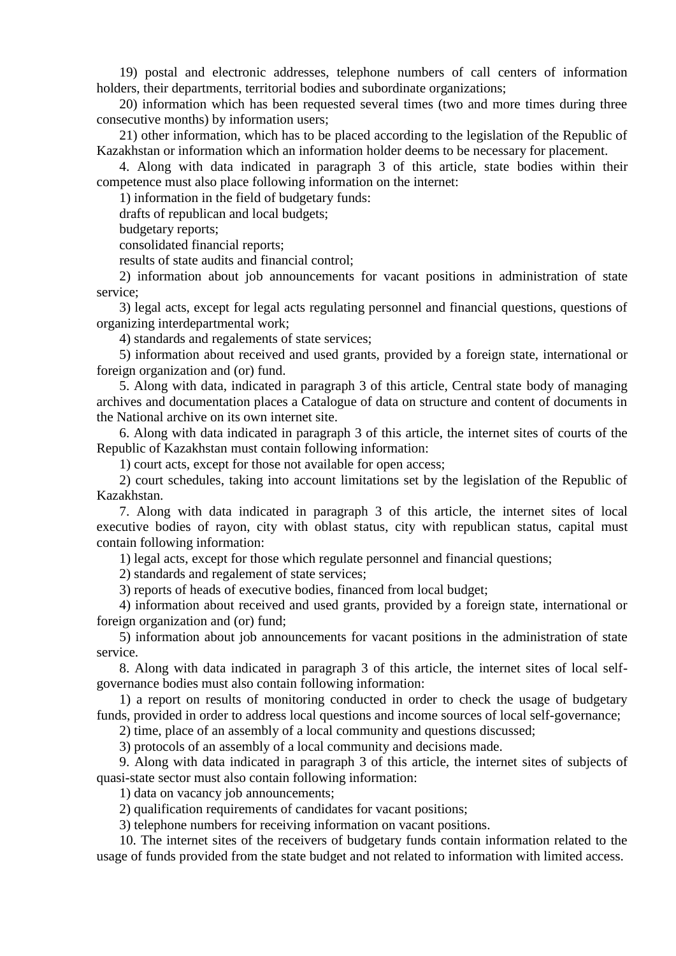19) postal and electronic addresses, telephone numbers of call centers of information holders, their departments, territorial bodies and subordinate organizations;

20) information which has been requested several times (two and more times during three consecutive months) by information users;

21) other information, which has to be placed according to the legislation of the Republic of Kazakhstan or information which an information holder deems to be necessary for placement.

4. Along with data indicated in paragraph 3 of this article, state bodies within their competence must also place following information on the internet:

1) information in the field of budgetary funds:

drafts of republican and local budgets;

budgetary reports;

consolidated financial reports;

results of state audits and financial control;

2) information about job announcements for vacant positions in administration of state service;

3) legal acts, except for legal acts regulating personnel and financial questions, questions of organizing interdepartmental work;

4) standards and regalements of state services;

5) information about received and used grants, provided by a foreign state, international or foreign organization and (or) fund.

5. Along with data, indicated in paragraph 3 of this article, Central state body of managing archives and documentation places a Catalogue of data on structure and content of documents in the National archive on its own internet site.

6. Along with data indicated in paragraph 3 of this article, the internet sites of courts of the Republic of Kazakhstan must contain following information:

1) court acts, except for those not available for open access;

2) court schedules, taking into account limitations set by the legislation of the Republic of Kazakhstan.

7. Along with data indicated in paragraph 3 of this article, the internet sites of local executive bodies of rayon, city with oblast status, city with republican status, capital must contain following information:

1) legal acts, except for those which regulate personnel and financial questions;

2) standards and regalement of state services;

3) reports of heads of executive bodies, financed from local budget;

4) information about received and used grants, provided by a foreign state, international or foreign organization and (or) fund;

5) information about job announcements for vacant positions in the administration of state service.

8. Along with data indicated in paragraph 3 of this article, the internet sites of local selfgovernance bodies must also contain following information:

1) a report on results of monitoring conducted in order to check the usage of budgetary funds, provided in order to address local questions and income sources of local self-governance;

2) time, place of an assembly of a local community and questions discussed;

3) protocols of an assembly of a local community and decisions made.

9. Along with data indicated in paragraph 3 of this article, the internet sites of subjects of quasi-state sector must also contain following information:

1) data on vacancy job announcements;

2) qualification requirements of candidates for vacant positions;

3) telephone numbers for receiving information on vacant positions.

10. The internet sites of the receivers of budgetary funds contain information related to the usage of funds provided from the state budget and not related to information with limited access.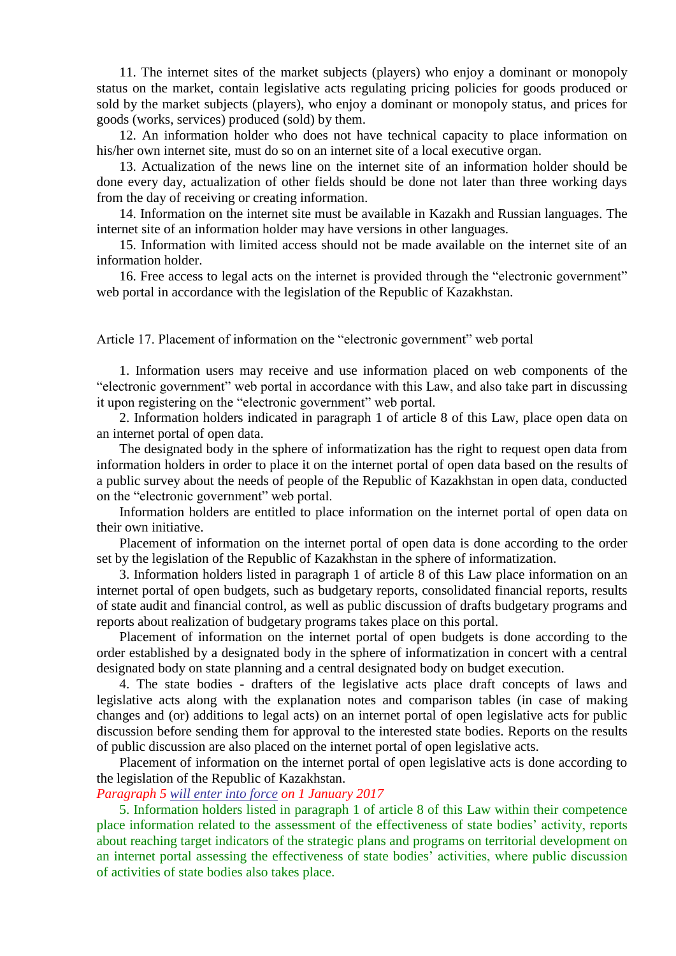11. The internet sites of the market subjects (players) who enjoy a dominant or monopoly status on the market, contain legislative acts regulating pricing policies for goods produced or sold by the market subjects (players), who enjoy a dominant or monopoly status, and prices for goods (works, services) produced (sold) by them.

12. An information holder who does not have technical capacity to place information on his/her own internet site, must do so on an internet site of a local executive organ.

13. Actualization of the news line on the internet site of an information holder should be done every day, actualization of other fields should be done not later than three working days from the day of receiving or creating information.

14. Information on the internet site must be available in Kazakh and Russian languages. The internet site of an information holder may have versions in other languages.

15. Information with limited access should not be made available on the internet site of an information holder.

16. Free access to legal acts on the internet is provided through the "electronic government" web portal in accordance with the legislation of the Republic of Kazakhstan.

<span id="page-10-0"></span>Article 17. Placement of information on the "electronic government" web portal

1. Information users may receive and use information placed on web components of the "electronic government" web portal in accordance with this Law, and also take part in discussing it upon registering on the "electronic government" web portal.

2. Information holders indicated in paragraph 1 of article 8 of this Law, place open data on an internet portal of open data.

The designated body in the sphere of informatization has the right to request open data from information holders in order to place it on the internet portal of open data based on the results of a public survey about the needs of people of the Republic of Kazakhstan in open data, conducted on the "electronic government" web portal.

Information holders are entitled to place information on the internet portal of open data on their own initiative.

Placement of information on the internet portal of open data is done according to the order set by the legislation of the Republic of Kazakhstan in the sphere of informatization.

3. Information holders listed in paragraph 1 of article 8 of this Law place information on an internet portal of open budgets, such as budgetary reports, consolidated financial reports, results of state audit and financial control, as well as public discussion of drafts budgetary programs and reports about realization of budgetary programs takes place on this portal.

Placement of information on the internet portal of open budgets is done according to the order established by a designated body in the sphere of informatization in concert with a central designated body on state planning and a central designated body on budget execution.

4. The state bodies - drafters of the legislative acts place draft concepts of laws and legislative acts along with the explanation notes and comparison tables (in case of making changes and (or) additions to legal acts) on an internet portal of open legislative acts for public discussion before sending them for approval to the interested state bodies. Reports on the results of public discussion are also placed on the internet portal of open legislative acts.

Placement of information on the internet portal of open legislative acts is done according to the legislation of the Republic of Kazakhstan.

## *Paragraph 5 will enter into [force](#page-11-3) on 1 January 2017*

5. Information holders listed in paragraph 1 of article 8 of this Law within their competence place information related to the assessment of the effectiveness of state bodies' activity, reports about reaching target indicators of the strategic plans and programs on territorial development on an internet portal assessing the effectiveness of state bodies' activities, where public discussion of activities of state bodies also takes place.